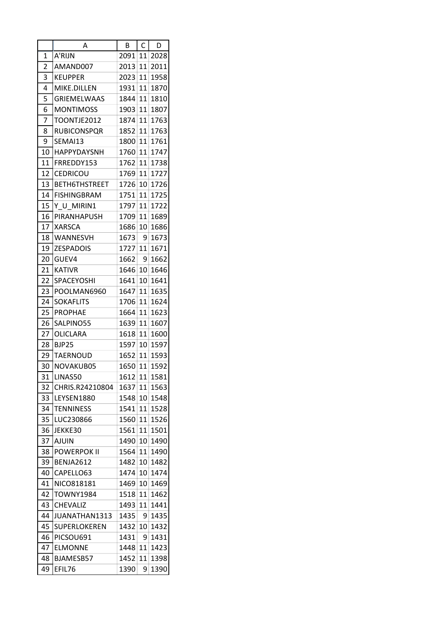|                | А                    | В    | $\mathsf C$ | D    |
|----------------|----------------------|------|-------------|------|
| 1              | A'RIJN               | 2091 | 11          | 2028 |
| $\overline{2}$ | AMAND007             | 2013 | 11          | 2011 |
| 3              | <b>KEUPPER</b>       | 2023 | 11          | 1958 |
| 4              | MIKE.DILLEN          | 1931 | 11          | 1870 |
| 5              | <b>GRIEMELWAAS</b>   | 1844 | 11          | 1810 |
| 6              | <b>MONTIMOSS</b>     | 1903 | 11          | 1807 |
| 7              | TOONTJE2012          | 1874 | 11          | 1763 |
| 8              | <b>RUBICONSPQR</b>   | 1852 | 11          | 1763 |
| 9              | SEMAI13              | 1800 | 11          | 1761 |
| 10             | HAPPYDAYSNH          | 1760 | 11          | 1747 |
| 11             | FRREDDY153           | 1762 | 11          | 1738 |
| 12             | <b>CEDRICOU</b>      | 1769 | 11          | 1727 |
| 13             | <b>BETH6THSTREET</b> | 1726 | 10          | 1726 |
| 14             | <b>FISHINGBRAM</b>   | 1751 | 11          | 1725 |
| 15             | Y U MIRIN1           | 1797 | 11          | 1722 |
| 16             | PIRANHAPUSH          | 1709 | 11          | 1689 |
| 17             | <b>XARSCA</b>        | 1686 | 10          | 1686 |
| 18             | WANNESVH             | 1673 | 9           | 1673 |
| 19             | <b>ZESPADOIS</b>     | 1727 | 11          | 1671 |
| 20             | GUEV4                | 1662 | 9           | 1662 |
| 21             | <b>KATIVR</b>        | 1646 | 10          | 1646 |
| 22             | SPACEYOSHI           | 1641 | 10          | 1641 |
| 23             | POOLMAN6960          | 1647 | 11          | 1635 |
| 24             | <b>SOKAFLITS</b>     | 1706 | 11          | 1624 |
| 25             | <b>PROPHAE</b>       | 1664 | 11          | 1623 |
| 26             | SALPINO55            | 1639 | 11          | 1607 |
| 27             | OLICLARA             | 1618 | 11          | 1600 |
| 28             | <b>BJP25</b>         | 1597 | 10          | 1597 |
| 29             | <b>TAERNOUD</b>      | 1652 | 11          | 1593 |
| 30             | NOVAKUB05            | 1650 | 11          | 1592 |
| 31             | LINAS50              | 1612 | 11          | 1581 |
| 32             | CHRIS.R24210804      | 1637 | 11          | 1563 |
| 33             | LEYSEN1880           | 1548 | 10          | 1548 |
| 34             | <b>TENNINESS</b>     | 1541 | 11          | 1528 |
| 35             | LUC230866            | 1560 | 11          | 1526 |
| 36             | JEKKE30              | 1561 | 11          | 1501 |
| 37             | <b>AJUIN</b>         | 1490 | 10          | 1490 |
| 38             | <b>POWERPOK II</b>   | 1564 | 11          | 1490 |
| 39             | <b>BENJA2612</b>     | 1482 | 10          | 1482 |
| 40             | CAPELLO63            | 1474 | 10          | 1474 |
| 41             | NICO818181           | 1469 | 10          | 1469 |
| 42             | <b>TOWNY1984</b>     | 1518 | 11          | 1462 |
| 43             | <b>CHEVALIZ</b>      | 1493 | 11          | 1441 |
| 44             | JUANATHAN1313        | 1435 | 9           | 1435 |
| 45             | SUPERLOKEREN         | 1432 | 10          | 1432 |
| 46             | PICSOU691            | 1431 | 9           | 1431 |
| 47             | <b>ELMONNE</b>       | 1448 | 11          | 1423 |
| 48             | BJAMESB57            | 1452 | 11          | 1398 |
| 49             | EFIL76               | 1390 | 9           | 1390 |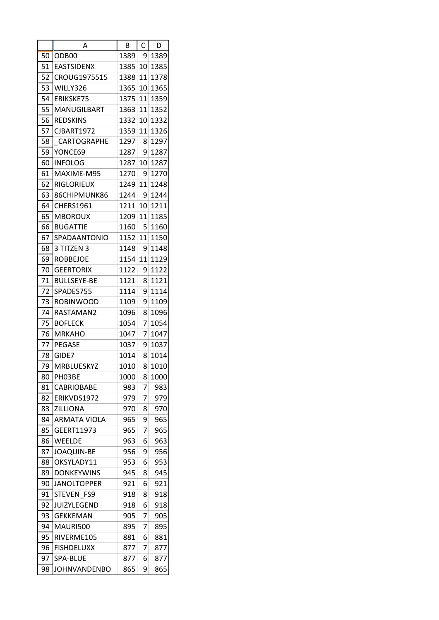|    | Α                   | В    | C  | D    |
|----|---------------------|------|----|------|
| 50 | ODB <sub>00</sub>   | 1389 | 9  | 1389 |
| 51 | <b>EASTSIDENX</b>   | 1385 | 10 | 1385 |
| 52 | CROUG1975515        | 1388 | 11 | 1378 |
| 53 | WILLY326            | 1365 | 10 | 1365 |
| 54 | ERIKSKE75           | 1375 | 11 | 1359 |
| 55 | MANUGILBART         | 1363 | 11 | 1352 |
| 56 | <b>REDSKINS</b>     | 1332 | 10 | 1332 |
| 57 | <b>CJBART1972</b>   | 1359 | 11 | 1326 |
| 58 | CARTOGRAPHE         | 1297 | 8  | 1297 |
| 59 | YONCE69             | 1287 | 9  | 1287 |
| 60 | <b>INFOLOG</b>      | 1287 | 10 | 1287 |
| 61 | MAXIME-M95          | 1270 | 9  | 1270 |
| 62 | <b>RIGLORIEUX</b>   | 1249 | 11 | 1248 |
| 63 | 86CHIPMUNK86        | 1244 | 9  | 1244 |
| 64 | CHERS1961           | 1211 | 10 | 1211 |
| 65 | <b>MBOROUX</b>      | 1209 | 11 | 1185 |
| 66 | <b>BUGATTIE</b>     | 1160 | 5  | 1160 |
| 67 | SPADAANTONIO        | 1152 | 11 | 1150 |
| 68 | 3 TITZEN 3          | 1148 | 9  | 1148 |
| 69 | <b>ROBBEJOE</b>     | 1154 | 11 | 1129 |
| 70 | <b>GEERTORIX</b>    | 1122 | 9  | 1122 |
| 71 | <b>BULLSEYE-BE</b>  | 1121 | 8  | 1121 |
| 72 | SPADES755           | 1114 | 9  | 1114 |
| 73 | <b>ROBINWOOD</b>    | 1109 | 9  | 1109 |
| 74 | RASTAMAN2           | 1096 | 8  | 1096 |
| 75 | <b>BOFLECK</b>      | 1054 | 7  | 1054 |
| 76 | <b>MRKAHO</b>       | 1047 | 7  | 1047 |
| 77 | <b>PEGASE</b>       | 1037 | 9  | 1037 |
| 78 | GIDE7               | 1014 | 8  | 1014 |
| 79 | MRBLUESKYZ          | 1010 | 8  | 1010 |
| 80 | PH03BE              | 1000 | 8  | 1000 |
| 81 | <b>CABRIOBABE</b>   | 983  | 7  | 983  |
| 82 | ERIKVDS1972         | 979  | 7  | 979  |
| 83 | ZILLIONA            | 970  | 8  | 970  |
| 84 | <b>ARMATA VIOLA</b> | 965  | 9  | 965  |
| 85 | GEERT11973          | 965  | 7  | 965  |
| 86 | WEELDE              | 963  | 6  | 963  |
| 87 | <b>JOAQUIN-BE</b>   | 956  | 9  | 956  |
| 88 | OKSYLADY11          | 953  | 6  | 953  |
| 89 | <b>DONKEYWINS</b>   | 945  | 8  | 945  |
| 90 | <b>JANOLTOPPER</b>  | 921  | 6  | 921  |
| 91 | STEVEN FS9          | 918  | 8  | 918  |
| 92 | <b>JUIZYLEGEND</b>  | 918  | 6  | 918  |
| 93 | <b>GEKKEMAN</b>     | 905  | 7  | 905  |
| 94 | MAURI500            | 895  | 7  | 895  |
| 95 | RIVERME105          | 881  | 6  | 881  |
| 96 | <b>FISHDELUXX</b>   | 877  | 7  | 877  |
| 97 | SPA-BLUE            | 877  | 6  | 877  |
| 98 | <b>JOHNVANDENBO</b> | 865  | 9  | 865  |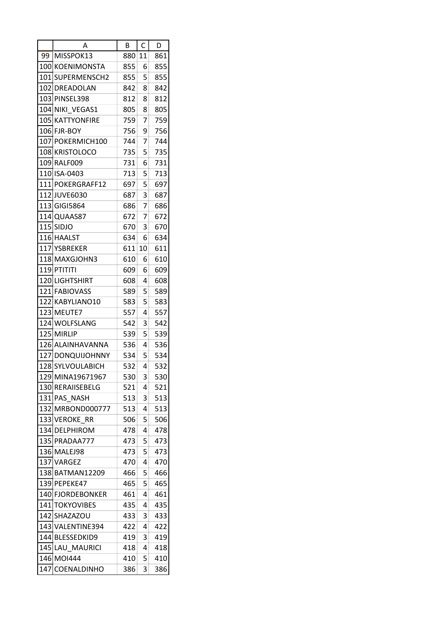|      | Α                  | В   | C  | D   |
|------|--------------------|-----|----|-----|
| 99   | MISSPOK13          | 880 | 11 | 861 |
| 1001 | <b>KOENIMONSTA</b> | 855 | 6  | 855 |
| 101  | SUPERMENSCH2       | 855 | 5  | 855 |
|      | 102 DREADOLAN      | 842 | 8  | 842 |
|      | 103 PINSEL398      | 812 | 8  | 812 |
|      | 104 NIKI VEGAS1    | 805 | 8  | 805 |
|      | 105 IKATTYONFIRE   | 759 | 7  | 759 |
| 106  | <b>FJR-BOY</b>     | 756 | 9  | 756 |
|      | 107 POKERMICH 100  | 744 | 7  | 744 |
|      | 108 KRISTOLOCO     | 735 | 5  | 735 |
| 109  | RALF009            | 731 | 6  | 731 |
|      | 110 ISA-0403       | 713 | 5  | 713 |
|      | 111 POKERGRAFF12   | 697 | 5  | 697 |
|      | 112 JUVE 6030      | 687 | 3  | 687 |
|      | 113 GIGI5864       | 686 | 7  | 686 |
|      | 114 QUAAS87        | 672 | 7  | 672 |
|      | 115 SIDJO          | 670 | 3  | 670 |
|      | 116 HAALST         | 634 | 6  | 634 |
|      | 117 YSBREKER       |     | 10 |     |
|      |                    | 611 |    | 611 |
|      | 118 MAXGJOHN3      | 610 | 6  | 610 |
|      | 119 PTITITI        | 609 | 6  | 609 |
|      | 120 LIGHTSHIRT     | 608 | 4  | 608 |
|      | 121 FABIOVASS      | 589 | 5  | 589 |
| 122  | KABYLIANO10        | 583 | 5  | 583 |
| 1231 | MEUTE7             | 557 | 4  | 557 |
|      | 124 WOLFSLANG      | 542 | 3  | 542 |
| 125  | <b>MIRLIP</b>      | 539 | 5  | 539 |
|      | 126 ALAINHAVANNA   | 536 | 4  | 536 |
|      | 127 DONQUIJOHNNY   | 534 | 5  | 534 |
|      | 128 SYLVOULABICH   | 532 | 4  | 532 |
|      | 129 MINA19671967   | 530 | 3  | 530 |
|      | 130 RERAIISEBELG   | 521 | 4  | 521 |
|      | 131 PAS NASH       | 513 | 3  | 513 |
|      | 132 MRBOND000777   | 513 | 4  | 513 |
|      | 133 VEROKE RR      | 506 | 5  | 506 |
|      | 134 DELPHIROM      | 478 | 4  | 478 |
|      | 135 PRADAA777      | 473 | 5  | 473 |
|      | 136 MALEJ98        | 473 | 5  | 473 |
|      | 137 VARGEZ         | 470 | 4  | 470 |
|      | 138 BATMAN12209    | 466 | 5  | 466 |
|      | 139 PEPEKE47       | 465 | 5  | 465 |
|      | 140 FJORDEBONKER   | 461 | 4  | 461 |
|      | 141 TOKYOVIBES     | 435 | 4  | 435 |
|      | 142 SHAZAZOU       | 433 | 3  | 433 |
|      | 143 VALENTINE394   | 422 | 4  | 422 |
|      | 144 BLESSEDKID9    | 419 | 3  | 419 |
|      | 145 LAU MAURICI    | 418 | 4  | 418 |
|      | 146 MOI444         | 410 | 5  | 410 |
| 147  | <b>COENALDINHO</b> | 386 | 3  | 386 |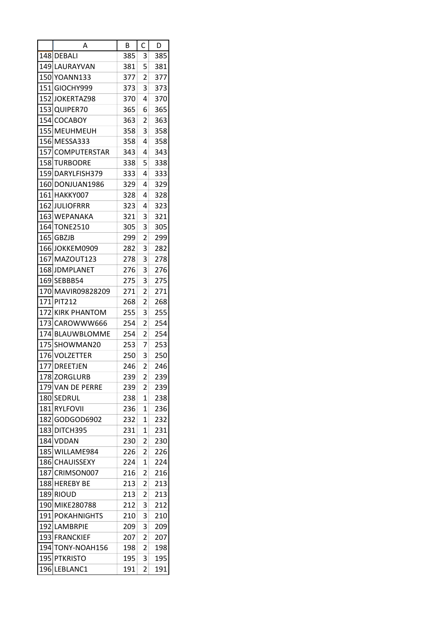|            | А                  | В    | C              | D          |
|------------|--------------------|------|----------------|------------|
|            | 148 DEBALI         | 385  | 3              | 385        |
|            | 149 ILAURAYVAN     | 381  | 5              | 381        |
| 150        | YOANN133           | 377  | 2              | 377        |
| 151        | GIOCHY999          | 373  | 3              | 373        |
| 152        | JOKERTAZ98         | 370  | 4              | 370        |
| 153        | QUIPER70           | 365  | 6              | 365        |
|            | 154 COCABOY        | 363  | 2              | 363        |
| 155        | <b>MEUHMEUH</b>    | 358  | 3              | 358        |
|            | 156 MESSA333       | 358  | 4              | 358        |
|            | 157 COMPUTERSTAR   | 343  | 4              | 343        |
| 158        | TURBODRE           | 338  | 5              | 338        |
|            | 159 DARYLFISH379   | 333  | 4              | 333        |
|            | 160IDONJUAN1986    | 329. | 4              | 329        |
|            | 161 HAKKY007       | 328  | 4              | 328        |
| 162        | <b>JULIOFRRR</b>   | 323  | 4              | 323        |
|            | 163 WEPANAKA       | 321  | 3              | 321        |
| <b>164</b> | <b>TONE2510</b>    | 305  | 3              | 305        |
|            | 165 GBZJB          | 299  | 2              | 299        |
|            | 166JOKKEM0909      | 282  | 3              |            |
| 167        | MAZOUT123          | 278  | 3              | 282<br>278 |
|            | 168 JDMPLANET      | 276  | 3              | 276        |
|            |                    |      | 3              |            |
|            | 169 SEBBB54        | 275  |                | 275        |
|            | 170 MAVIR09828209  | 271  | 2              | 271        |
| 171        | <b>PIT212</b>      | 268  | 2              | 268        |
| 172        | KIRK PHANTOM       | 255  | 3              | 255        |
| 173        | CAROWWW666         | 254  | 2              | 254        |
| 174        | <b>BLAUWBLOMME</b> | 254  | 2              | 254        |
| 175        | SHOWMAN20          | 253  | 7              | 253        |
|            | 176 VOLZETTER      | 250  | 3              | 250        |
|            | 177 DREETJEN       | 246  | $\overline{c}$ | 246        |
|            | 178 ZORGLURB       | 239  | 2              | 239        |
|            | 179 VAN DE PERRE   | 239  | 2              | 239        |
|            | 180 SEDRUL         | 238  | 1              | 238        |
|            | 181 RYLFOVII       | 236  | 1              | 236        |
|            | 182 GODGOD6902     | 232  | 1              | 232        |
|            | 183 DITCH395       | 231  | 1              | 231        |
|            | 184 VDDAN          | 230  | 2              | 230        |
|            | 185 WILLAME984     | 226  | $\overline{2}$ | 226        |
|            | 186 CHAUISSEXY     | 224  | 1              | 224        |
|            | 187 CRIMSON007     | 216  | 2              | 216        |
|            | 188 HEREBY BE      | 213  | 2              | 213        |
|            | 189 RIOUD          | 213  | 2              | 213        |
|            | 190 MIKE280788     | 212  | 3              | 212        |
|            | 191 POKAHNIGHTS    | 210  | 3              | 210        |
|            | 192 LAMBRPIE       | 209  | 3              | 209        |
|            | 193 FRANCKIEF      | 207  | 2              | 207        |
|            | 194 TONY-NOAH156   | 198  | 2              | 198        |
|            | 195 PTKRISTO       | 195  | 3              | 195        |
|            | 196 LEBLANC1       | 191  | 2              | 191        |